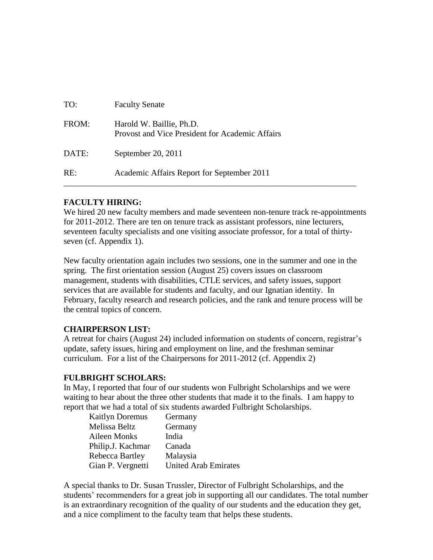| TO:   | <b>Faculty Senate</b>                                                       |
|-------|-----------------------------------------------------------------------------|
| FROM: | Harold W. Baillie, Ph.D.<br>Provost and Vice President for Academic Affairs |
| DATE: | September 20, $2011$                                                        |
| RE:   | Academic Affairs Report for September 2011                                  |

## **FACULTY HIRING:**

We hired 20 new faculty members and made seventeen non-tenure track re-appointments for 2011-2012. There are ten on tenure track as assistant professors, nine lecturers, seventeen faculty specialists and one visiting associate professor, for a total of thirtyseven (cf. Appendix 1).

New faculty orientation again includes two sessions, one in the summer and one in the spring. The first orientation session (August 25) covers issues on classroom management, students with disabilities, CTLE services, and safety issues, support services that are available for students and faculty, and our Ignatian identity. In February, faculty research and research policies, and the rank and tenure process will be the central topics of concern.

## **CHAIRPERSON LIST:**

A retreat for chairs (August 24) included information on students of concern, registrar's update, safety issues, hiring and employment on line, and the freshman seminar curriculum. For a list of the Chairpersons for 2011-2012 (cf. Appendix 2)

### **FULBRIGHT SCHOLARS:**

In May, I reported that four of our students won Fulbright Scholarships and we were waiting to hear about the three other students that made it to the finals. I am happy to report that we had a total of six students awarded Fulbright Scholarships.

| <b>Kaitlyn Doremus</b> | Germany                     |
|------------------------|-----------------------------|
| Melissa Beltz          | Germany                     |
| Aileen Monks           | India                       |
| Philip.J. Kachmar      | Canada                      |
| Rebecca Bartley        | Malaysia                    |
| Gian P. Vergnetti      | <b>United Arab Emirates</b> |

A special thanks to Dr. Susan Trussler, Director of Fulbright Scholarships, and the students' recommenders for a great job in supporting all our candidates. The total number is an extraordinary recognition of the quality of our students and the education they get, and a nice compliment to the faculty team that helps these students.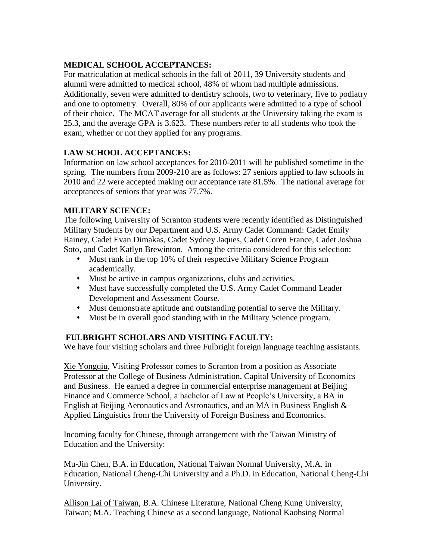# **MEDICAL SCHOOL ACCEPTANCES:**

For matriculation at medical schools in the fall of 2011, 39 University students and alumni were admitted to medical school, 48% of whom had multiple admissions. Additionally, seven were admitted to dentistry schools, two to veterinary, five to podiatry and one to optometry. Overall, 80% of our applicants were admitted to a type of school of their choice. The MCAT average for all students at the University taking the exam is 25.3, and the average GPA is 3.623. These numbers refer to all students who took the exam, whether or not they applied for any programs.

# **LAW SCHOOL ACCEPTANCES:**

Information on law school acceptances for 2010-2011 will be published sometime in the spring. The numbers from 2009-210 are as follows: 27 seniors applied to law schools in 2010 and 22 were accepted making our acceptance rate 81.5%. The national average for acceptances of seniors that year was 77.7%.

# **MILITARY SCIENCE:**

The following University of Scranton students were recently identified as Distinguished Military Students by our Department and U.S. Army Cadet Command: Cadet Emily Rainey, Cadet Evan Dimakas, Cadet Sydney Jaques, Cadet Coren France, Cadet Joshua Soto, and Cadet Katlyn Brewinton. Among the criteria considered for this selection:

- Must rank in the top 10% of their respective Military Science Program academically.
- Must be active in campus organizations, clubs and activities.
- Must have successfully completed the U.S. Army Cadet Command Leader Development and Assessment Course.
- Must demonstrate aptitude and outstanding potential to serve the Military.
- Must be in overall good standing with in the Military Science program.

# **FULBRIGHT SCHOLARS AND VISITING FACULTY:**

We have four visiting scholars and three Fulbright foreign language teaching assistants.

Xie Yongqiu, Visiting Professor comes to Scranton from a position as Associate Professor at the College of Business Administration, Capital University of Economics and Business. He earned a degree in commercial enterprise management at Beijing Finance and Commerce School, a bachelor of Law at People's University, a BA in English at Beijing Aeronautics and Astronautics, and an MA in Business English & Applied Linguistics from the University of Foreign Business and Economics.

Incoming faculty for Chinese, through arrangement with the Taiwan Ministry of Education and the University:

Mu-Jin Chen, B.A. in Education, National Taiwan Normal University, M.A. in Education, National Cheng-Chi University and a Ph.D. in Education, National Cheng-Chi University.

Allison Lai of Taiwan, B.A. Chinese Literature, National Cheng Kung University, Taiwan; M.A. Teaching Chinese as a second language, National Kaohsing Normal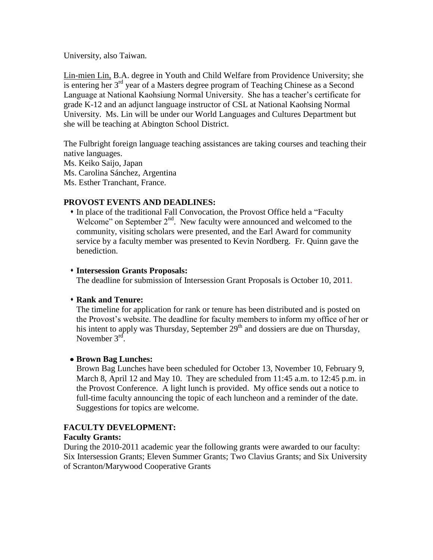University, also Taiwan.

Lin-mien Lin, B.A. degree in Youth and Child Welfare from Providence University; she is entering her 3<sup>rd</sup> year of a Masters degree program of Teaching Chinese as a Second Language at National Kaohsiung Normal University. She has a teacher's certificate for grade K-12 and an adjunct language instructor of CSL at National Kaohsing Normal University. Ms. Lin will be under our World Languages and Cultures Department but she will be teaching at Abington School District.

The Fulbright foreign language teaching assistances are taking courses and teaching their native languages.

Ms. Keiko Saijo, Japan

Ms. Carolina Sánchez, Argentina

Ms. Esther Tranchant, France.

### **PROVOST EVENTS AND DEADLINES:**

 In place of the traditional Fall Convocation, the Provost Office held a "Faculty Welcome" on September  $2<sup>nd</sup>$ . New faculty were announced and welcomed to the community, visiting scholars were presented, and the Earl Award for community service by a faculty member was presented to Kevin Nordberg. Fr. Quinn gave the benediction.

### **Intersession Grants Proposals:**

The deadline for submission of Intersession Grant Proposals is October 10, 2011.

### **Rank and Tenure:**

The timeline for application for rank or tenure has been distributed and is posted on the Provost's website. The deadline for faculty members to inform my office of her or his intent to apply was Thursday, September  $29<sup>th</sup>$  and dossiers are due on Thursday, November  $3<sup>rd</sup>$ .

### **Brown Bag Lunches:**

Brown Bag Lunches have been scheduled for October 13, November 10, February 9, March 8, April 12 and May 10. They are scheduled from 11:45 a.m. to 12:45 p.m. in the Provost Conference. A light lunch is provided. My office sends out a notice to full-time faculty announcing the topic of each luncheon and a reminder of the date. Suggestions for topics are welcome.

### **FACULTY DEVELOPMENT:**

### **Faculty Grants:**

During the 2010-2011 academic year the following grants were awarded to our faculty: Six Intersession Grants; Eleven Summer Grants; Two Clavius Grants; and Six University of Scranton/Marywood Cooperative Grants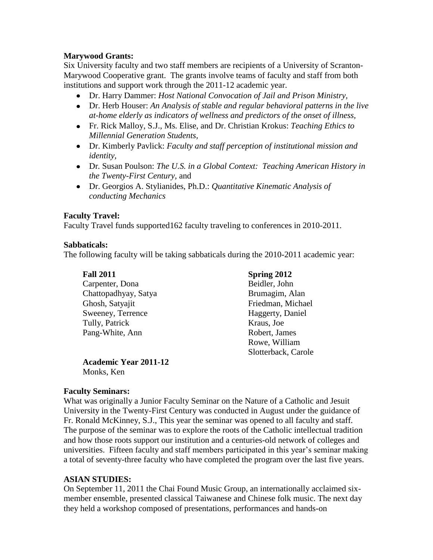### **Marywood Grants:**

Six University faculty and two staff members are recipients of a University of Scranton-Marywood Cooperative grant. The grants involve teams of faculty and staff from both institutions and support work through the 2011-12 academic year.

- Dr. Harry Dammer: *Host National Convocation of Jail and Prison Ministry,*
- Dr. Herb Houser: *An Analysis of stable and regular behavioral patterns in the live at-home elderly as indicators of wellness and predictors of the onset of illness,*
- Fr. Rick Malloy, S.J., Ms. Elise, and Dr. Christian Krokus: *Teaching Ethics to Millennial Generation Students,*
- Dr. Kimberly Pavlick: *Faculty and staff perception of institutional mission and identity,*
- Dr*.* Susan Poulson: *The U.S. in a Global Context: Teaching American History in the Twenty-First Century,* and
- Dr. Georgios A. Stylianides, Ph.D.: *Quantitative Kinematic Analysis of conducting Mechanics*

### **Faculty Travel:**

Faculty Travel funds supported162 faculty traveling to conferences in 2010-2011.

### **Sabbaticals:**

The following faculty will be taking sabbaticals during the 2010-2011 academic year:

| <b>Fall 2011</b>     | Spring 2012         |
|----------------------|---------------------|
| Carpenter, Dona      | Beidler, John       |
| Chattopadhyay, Satya | Brumagim, Alan      |
| Ghosh, Satyajit      | Friedman, Michael   |
| Sweeney, Terrence    | Haggerty, Daniel    |
| Tully, Patrick       | Kraus, Joe          |
| Pang-White, Ann      | Robert, James       |
|                      | Rowe, William       |
|                      | Slotterback, Carole |

**Academic Year 2011-12** Monks, Ken

### **Faculty Seminars:**

What was originally a Junior Faculty Seminar on the Nature of a Catholic and Jesuit University in the Twenty-First Century was conducted in August under the guidance of Fr. Ronald McKinney, S.J., This year the seminar was opened to all faculty and staff. The purpose of the seminar was to explore the roots of the Catholic intellectual tradition and how those roots support our institution and a centuries-old network of colleges and universities. Fifteen faculty and staff members participated in this year's seminar making a total of seventy-three faculty who have completed the program over the last five years.

### **ASIAN STUDIES:**

On September 11, 2011 the Chai Found Music Group, an internationally acclaimed sixmember ensemble, presented classical Taiwanese and Chinese folk music. The next day they held a workshop composed of presentations, performances and hands-on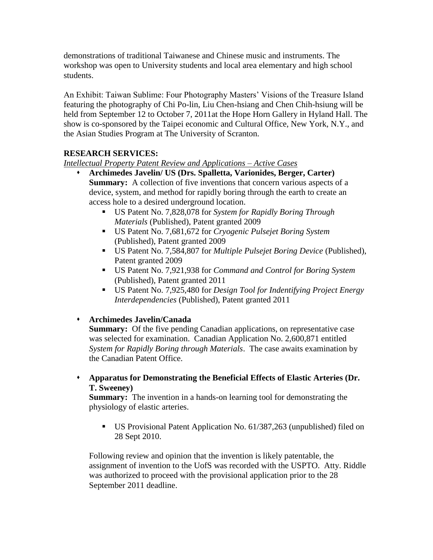demonstrations of traditional Taiwanese and Chinese music and instruments. The workshop was open to University students and local area elementary and high school students.

An Exhibit: Taiwan Sublime: Four Photography Masters' Visions of the Treasure Island featuring the photography of Chi Po-lin, Liu Chen-hsiang and Chen Chih-hsiung will be held from September 12 to October 7, 2011at the Hope Horn Gallery in Hyland Hall. The show is co-sponsored by the Taipei economic and Cultural Office, New York, N.Y., and the Asian Studies Program at The University of Scranton.

# **RESEARCH SERVICES:**

*Intellectual Property Patent Review and Applications – Active Cases*

- **Archimedes Javelin/ US (Drs. Spalletta, Varionides, Berger, Carter) Summary:** A collection of five inventions that concern various aspects of a device, system, and method for rapidly boring through the earth to create an access hole to a desired underground location.
	- US Patent No. 7,828,078 for *System for Rapidly Boring Through Materials* (Published), Patent granted 2009
	- US Patent No. 7,681,672 for *Cryogenic Pulsejet Boring System* (Published), Patent granted 2009
	- US Patent No. 7,584,807 for *Multiple Pulsejet Boring Device* (Published), Patent granted 2009
	- US Patent No. 7,921,938 for *Command and Control for Boring System* (Published), Patent granted 2011
	- US Patent No. 7,925,480 for *Design Tool for Indentifying Project Energy Interdependencies* (Published), Patent granted 2011

## **Archimedes Javelin/Canada**

**Summary:** Of the five pending Canadian applications, on representative case was selected for examination. Canadian Application No. 2,600,871 entitled *System for Rapidly Boring through Materials*. The case awaits examination by the Canadian Patent Office.

 **Apparatus for Demonstrating the Beneficial Effects of Elastic Arteries (Dr. T. Sweeney)**

**Summary:** The invention in a hands-on learning tool for demonstrating the physiology of elastic arteries.

 US Provisional Patent Application No. 61/387,263 (unpublished) filed on 28 Sept 2010.

Following review and opinion that the invention is likely patentable, the assignment of invention to the UofS was recorded with the USPTO. Atty. Riddle was authorized to proceed with the provisional application prior to the 28 September 2011 deadline.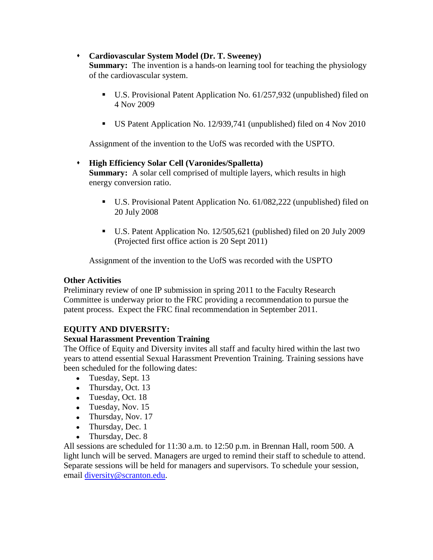### **Cardiovascular System Model (Dr. T. Sweeney)**

**Summary:** The invention is a hands-on learning tool for teaching the physiology of the cardiovascular system.

- U.S. Provisional Patent Application No. 61/257,932 (unpublished) filed on 4 Nov 2009
- US Patent Application No. 12/939,741 (unpublished) filed on 4 Nov 2010

Assignment of the invention to the UofS was recorded with the USPTO.

### **High Efficiency Solar Cell (Varonides/Spalletta) Summary:** A solar cell comprised of multiple layers, which results in high energy conversion ratio.

- U.S. Provisional Patent Application No. 61/082,222 (unpublished) filed on 20 July 2008
- U.S. Patent Application No. 12/505,621 (published) filed on 20 July 2009 (Projected first office action is 20 Sept 2011)

Assignment of the invention to the UofS was recorded with the USPTO

## **Other Activities**

Preliminary review of one IP submission in spring 2011 to the Faculty Research Committee is underway prior to the FRC providing a recommendation to pursue the patent process. Expect the FRC final recommendation in September 2011.

## **EQUITY AND DIVERSITY:**

## **Sexual Harassment Prevention Training**

The Office of Equity and Diversity invites all staff and faculty hired within the last two years to attend essential Sexual Harassment Prevention Training. Training sessions have been scheduled for the following dates:

- Tuesday, Sept. 13
- Thursday, Oct. 13
- Tuesday, Oct. 18
- $\bullet$  Tuesday, Nov. 15
- Thursday, Nov. 17
- Thursday, Dec. 1
- Thursday, Dec. 8

All sessions are scheduled for 11:30 a.m. to 12:50 p.m. in Brennan Hall, room 500. A light lunch will be served. Managers are urged to remind their staff to schedule to attend. Separate sessions will be held for managers and supervisors. To schedule your session, email [diversity@scranton.edu.](mailto:diversity@scranton.edu)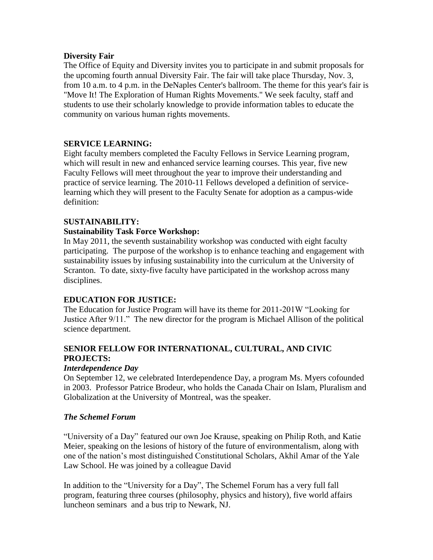### **Diversity Fair**

The Office of Equity and Diversity invites you to participate in and submit proposals for the upcoming fourth annual Diversity Fair. The fair will take place Thursday, Nov. 3, from 10 a.m. to 4 p.m. in the DeNaples Center's ballroom. The theme for this year's fair is "Move It! The Exploration of Human Rights Movements." We seek faculty, staff and students to use their scholarly knowledge to provide information tables to educate the community on various human rights movements.

## **SERVICE LEARNING:**

Eight faculty members completed the Faculty Fellows in Service Learning program, which will result in new and enhanced service learning courses. This year, five new Faculty Fellows will meet throughout the year to improve their understanding and practice of service learning. The 2010-11 Fellows developed a definition of servicelearning which they will present to the Faculty Senate for adoption as a campus-wide definition:

## **SUSTAINABILITY:**

### **Sustainability Task Force Workshop:**

In May 2011, the seventh sustainability workshop was conducted with eight faculty participating. The purpose of the workshop is to enhance teaching and engagement with sustainability issues by infusing sustainability into the curriculum at the University of Scranton. To date, sixty-five faculty have participated in the workshop across many disciplines.

## **EDUCATION FOR JUSTICE:**

The Education for Justice Program will have its theme for 2011-201W "Looking for Justice After 9/11." The new director for the program is Michael Allison of the political science department.

## **SENIOR FELLOW FOR INTERNATIONAL, CULTURAL, AND CIVIC PROJECTS:**

### *Interdependence Day*

On September 12, we celebrated Interdependence Day, a program Ms. Myers cofounded in 2003. Professor Patrice Brodeur, who holds the Canada Chair on Islam, Pluralism and Globalization at the University of Montreal, was the speaker.

### *The Schemel Forum*

"University of a Day" featured our own Joe Krause, speaking on Philip Roth, and Katie Meier, speaking on the lesions of history of the future of environmentalism, along with one of the nation's most distinguished Constitutional Scholars, Akhil Amar of the Yale Law School. He was joined by a colleague David

In addition to the "University for a Day", The Schemel Forum has a very full fall program, featuring three courses (philosophy, physics and history), five world affairs luncheon seminars and a bus trip to Newark, NJ.